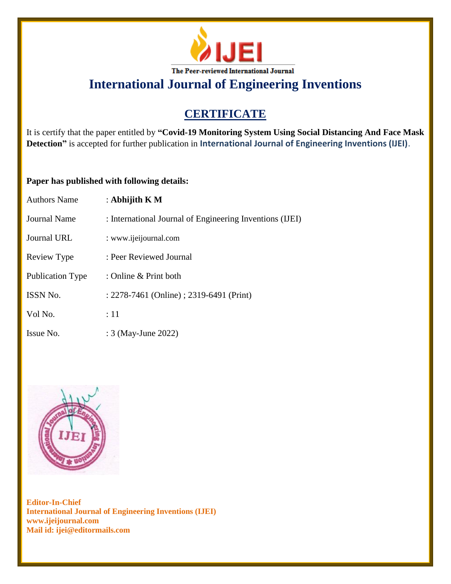

# **CERTIFICATE**

It is certify that the paper entitled by **"Covid-19 Monitoring System Using Social Distancing And Face Mask Detection"** is accepted for further publication in **International Journal of Engineering Inventions (IJEI)**.

### **Paper has published with following details:**

| <b>Authors Name</b>     | : Abhijith $K M$                                         |
|-------------------------|----------------------------------------------------------|
| <b>Journal Name</b>     | : International Journal of Engineering Inventions (IJEI) |
| <b>Journal URL</b>      | : www.ijeijournal.com                                    |
| Review Type             | : Peer Reviewed Journal                                  |
| <b>Publication Type</b> | : Online & Print both                                    |
| <b>ISSN No.</b>         | : 2278-7461 (Online) ; 2319-6491 (Print)                 |
| Vol No.                 | :11                                                      |
| Issue No.               | : 3 (May-June 2022)                                      |

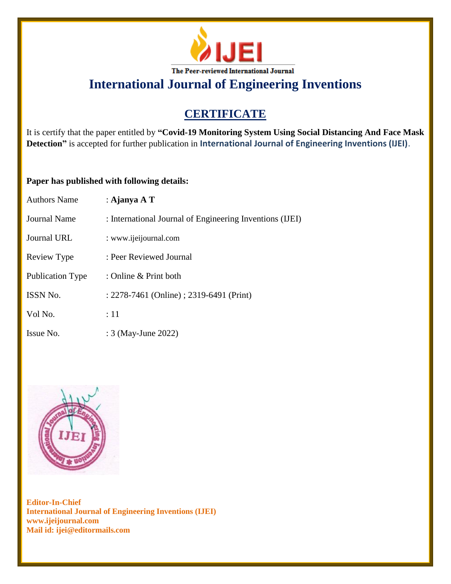

# **CERTIFICATE**

It is certify that the paper entitled by **"Covid-19 Monitoring System Using Social Distancing And Face Mask Detection"** is accepted for further publication in **International Journal of Engineering Inventions (IJEI)**.

### **Paper has published with following details:**

| <b>Authors Name</b>     | : Ajanya A $T$                                           |
|-------------------------|----------------------------------------------------------|
| Journal Name            | : International Journal of Engineering Inventions (IJEI) |
| Journal URL             | : www.ijeijournal.com                                    |
| Review Type             | : Peer Reviewed Journal                                  |
| <b>Publication Type</b> | : Online & Print both                                    |
| <b>ISSN No.</b>         | : 2278-7461 (Online) ; 2319-6491 (Print)                 |
| Vol No.                 | :11                                                      |
| Issue No.               | : 3 (May-June 2022)                                      |

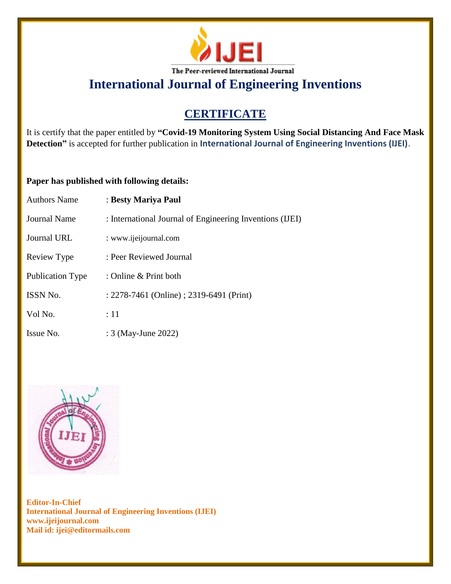

# **CERTIFICATE**

It is certify that the paper entitled by **"Covid-19 Monitoring System Using Social Distancing And Face Mask Detection"** is accepted for further publication in **International Journal of Engineering Inventions (IJEI)**.

### **Paper has published with following details:**

| <b>Authors Name</b>     | : Besty Mariya Paul                                      |
|-------------------------|----------------------------------------------------------|
| Journal Name            | : International Journal of Engineering Inventions (IJEI) |
| Journal URL             | : www.ijeijournal.com                                    |
| Review Type             | : Peer Reviewed Journal                                  |
| <b>Publication Type</b> | : Online & Print both                                    |
| <b>ISSN No.</b>         | : 2278-7461 (Online) ; 2319-6491 (Print)                 |
| Vol No.                 | :11                                                      |
| Issue No.               | : 3 (May-June 2022)                                      |

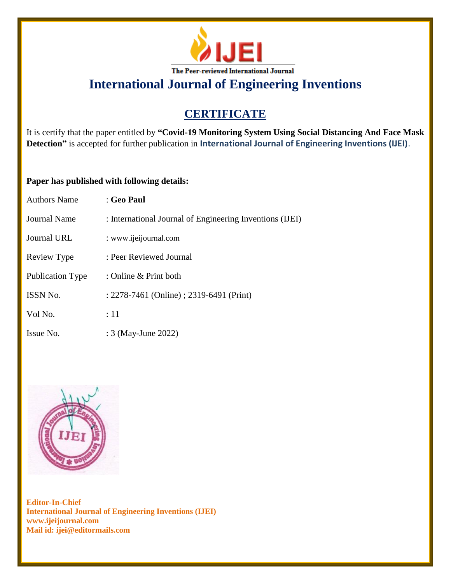

# **CERTIFICATE**

It is certify that the paper entitled by **"Covid-19 Monitoring System Using Social Distancing And Face Mask Detection"** is accepted for further publication in **International Journal of Engineering Inventions (IJEI)**.

#### **Paper has published with following details:**

| <b>Authors Name</b> | : Geo Paul                                               |
|---------------------|----------------------------------------------------------|
| <b>Journal Name</b> | : International Journal of Engineering Inventions (IJEI) |
| Journal URL         | : www.ijeijournal.com                                    |
| Review Type         | : Peer Reviewed Journal                                  |
| Publication Type    | : Online & Print both                                    |
| ISSN No.            | : 2278-7461 (Online) ; 2319-6491 (Print)                 |
| Vol No.             | :11                                                      |
| Issue No.           | : 3 (May-June 2022)                                      |